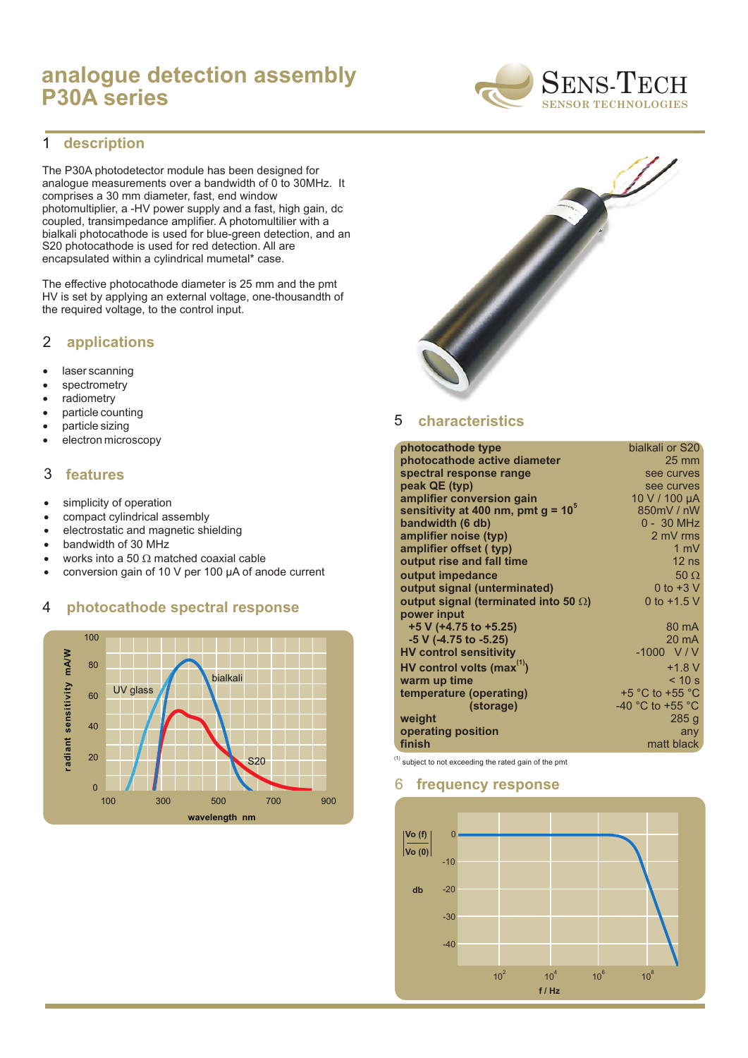# **analogue detection assembly P30A series**



#### **description** 1

The P30A photodetector module has been designed for analogue measurements over a bandwidth of 0 to 30MHz. It comprises a 30 mm diameter, fast, end window photomultiplier, a -HV power supply and a fast, high gain, dc coupled, transimpedance amplifier. A photomultilier with a bialkali photocathode is used for blue-green detection, and an S20 photocathode is used for red detection. All are encapsulated within a cylindrical mumetal\* case.

The effective photocathode diameter is 25 mm and the pmt HV is set by applying an external voltage, one-thousandth of the required voltage, to the control input.

## 2 **applications**

laser scanning spectrometry radiometry particle counting particle sizing electron microscopy

### 3 **features**

simplicity of operation compact cylindrical assembly electrostatic and magnetic shielding bandwidth of 30 MHz works into a 50 matched coaxial cable conversion gain of 10 V per 100 µA of anode current

### 4 **photocathode spectral response**





#### **characteristics** 5

|                                    | bialkali or S20                      |
|------------------------------------|--------------------------------------|
|                                    | $25 \text{ mm}$                      |
|                                    | see curves                           |
|                                    | see curves                           |
|                                    | 10 V / 100 µA                        |
|                                    | 850mV / nW                           |
|                                    | 0 - 30 MHz                           |
|                                    | 2 mV rms                             |
|                                    | 1 mV                                 |
|                                    | $12$ ns                              |
|                                    | 50                                   |
|                                    | 0 to $+3$ V                          |
| output signal (terminated into 50) | 0 to $+1.5$ V                        |
|                                    |                                      |
|                                    | 80 mA                                |
|                                    | $20 \text{ mA}$                      |
|                                    | $-1000 V/V$                          |
|                                    | $+1.8 V$                             |
|                                    | < 10 s                               |
|                                    | +5 $^{\circ}$ C to +55 $^{\circ}$ C  |
|                                    | -40 $^{\circ}$ C to +55 $^{\circ}$ C |
|                                    | 285g                                 |
|                                    | any                                  |
|                                    | matt black                           |
|                                    |                                      |

 $<sup>(1)</sup>$  subject to not exceeding the rated gain of the pmt</sup>

### 6 **frequency response**